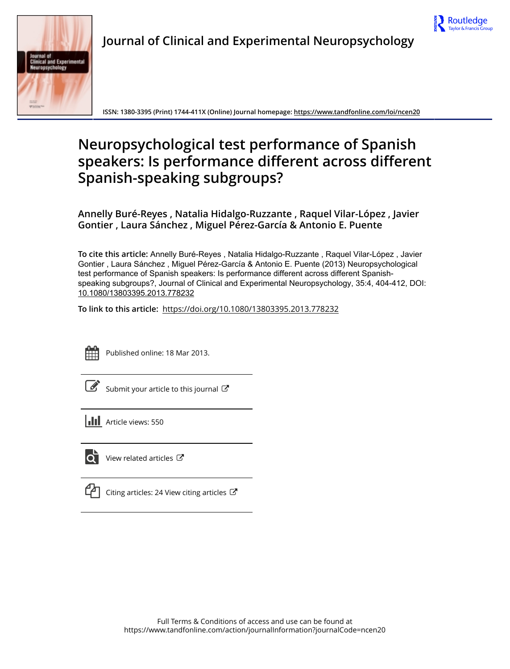

# **Journal of Clinical and Experimental Neuropsychology**



**ISSN: 1380-3395 (Print) 1744-411X (Online) Journal homepage: <https://www.tandfonline.com/loi/ncen20>**

## **Neuropsychological test performance of Spanish speakers: Is performance different across different Spanish-speaking subgroups?**

**Annelly Buré-Reyes , Natalia Hidalgo-Ruzzante , Raquel Vilar-López , Javier Gontier , Laura Sánchez , Miguel Pérez-García & Antonio E. Puente**

**To cite this article:** Annelly Buré-Reyes , Natalia Hidalgo-Ruzzante , Raquel Vilar-López , Javier Gontier , Laura Sánchez , Miguel Pérez-García & Antonio E. Puente (2013) Neuropsychological test performance of Spanish speakers: Is performance different across different Spanishspeaking subgroups?, Journal of Clinical and Experimental Neuropsychology, 35:4, 404-412, DOI: [10.1080/13803395.2013.778232](https://www.tandfonline.com/action/showCitFormats?doi=10.1080/13803395.2013.778232)

**To link to this article:** <https://doi.org/10.1080/13803395.2013.778232>



Published online: 18 Mar 2013.

[Submit your article to this journal](https://www.tandfonline.com/action/authorSubmission?journalCode=ncen20&show=instructions)  $\mathbb{Z}$ 

**III** Article views: 550



 $\overline{Q}$  [View related articles](https://www.tandfonline.com/doi/mlt/10.1080/13803395.2013.778232)  $\mathbb{Z}$ 

| Citing articles: 24 View citing articles $\mathbb{C}^{\bullet}$ |  |
|-----------------------------------------------------------------|--|
|-----------------------------------------------------------------|--|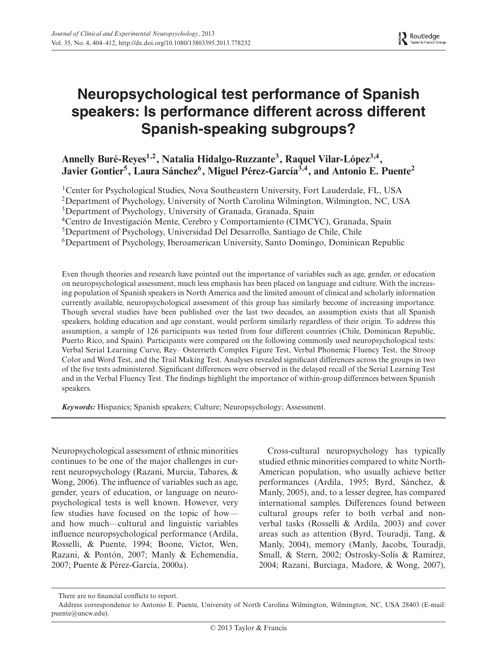### **Neuropsychological test performance of Spanish speakers: Is performance different across different Spanish-speaking subgroups?**

### **Annelly Buré-Reyes1,2 , Natalia Hidalgo-Ruzzante<sup>3</sup> , Raquel Vilar-López3,4, Javier Gontier5 , Laura Sánchez<sup>6</sup> , Miguel Pérez-García3,4, and Antonio E. Puente2**

<sup>1</sup>Center for Psychological Studies, Nova Southeastern University, Fort Lauderdale, FL, USA

<sup>2</sup>Department of Psychology, University of North Carolina Wilmington, Wilmington, NC, USA

<sup>3</sup>Department of Psychology, University of Granada, Granada, Spain

4Centro de Investigación Mente, Cerebro y Comportamiento (CIMCYC), Granada, Spain

5Department of Psychology, Universidad Del Desarrollo, Santiago de Chile, Chile

6Department of Psychology, Iberoamerican University, Santo Domingo, Dominican Republic

Even though theories and research have pointed out the importance of variables such as age, gender, or education on neuropsychological assessment, much less emphasis has been placed on language and culture. With the increasing population of Spanish speakers in North America and the limited amount of clinical and scholarly information currently available, neuropsychological assessment of this group has similarly become of increasing importance. Though several studies have been published over the last two decades, an assumption exists that all Spanish speakers, holding education and age constant, would perform similarly regardless of their origin. To address this assumption, a sample of 126 participants was tested from four different countries (Chile, Dominican Republic, Puerto Rico, and Spain). Participants were compared on the following commonly used neuropsychological tests: Verbal Serial Learning Curve, Rey– Osterrieth Complex Figure Test, Verbal Phonemic Fluency Test, the Stroop Color and Word Test, and the Trail Making Test. Analyses revealed significant differences across the groups in two of the five tests administered. Significant differences were observed in the delayed recall of the Serial Learning Test and in the Verbal Fluency Test. The findings highlight the importance of within-group differences between Spanish speakers.

*Keywords:* Hispanics; Spanish speakers; Culture; Neuropsychology; Assessment.

Neuropsychological assessment of ethnic minorities continues to be one of the major challenges in current neuropsychology (Razani, Murcia, Tabares, & Wong, 2006). The influence of variables such as age, gender, years of education, or language on neuropsychological tests is well known. However, very few studies have focused on the topic of how and how much—cultural and linguistic variables influence neuropsychological performance (Ardila, Rosselli, & Puente, 1994; Boone, Victor, Wen, Razani, & Pontón, 2007; Manly & Echemendia, 2007; Puente & Pérez-García, 2000a).

Cross-cultural neuropsychology has typically studied ethnic minorities compared to white North-American population, who usually achieve better performances (Ardila, 1995; Byrd, Sánchez, & Manly, 2005), and, to a lesser degree, has compared international samples. Differences found between cultural groups refer to both verbal and nonverbal tasks (Rosselli & Ardila, 2003) and cover areas such as attention (Byrd, Touradji, Tang, & Manly, 2004), memory (Manly, Jacobs, Touradji, Small, & Stern, 2002; Ostrosky-Solís & Ramírez, 2004; Razani, Burciaga, Madore, & Wong, 2007),

There are no financial conflicts to report.

Address correspondence to Antonio E. Puente, University of North Carolina Wilmington, Wilmington, NC, USA 28403 (E-mail: puente@uncw.edu).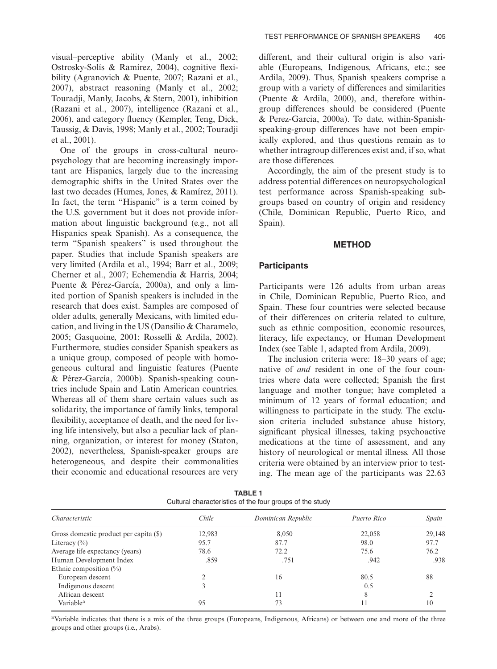visual–perceptive ability (Manly et al., 2002; Ostrosky-Solís & Ramírez, 2004), cognitive flexibility (Agranovich & Puente, 2007; Razani et al., 2007), abstract reasoning (Manly et al., 2002; Touradji, Manly, Jacobs, & Stern, 2001), inhibition (Razani et al., 2007), intelligence (Razani et al., 2006), and category fluency (Kempler, Teng, Dick, Taussig, & Davis, 1998; Manly et al., 2002; Touradji et al., 2001).

One of the groups in cross-cultural neuropsychology that are becoming increasingly important are Hispanics, largely due to the increasing demographic shifts in the United States over the last two decades (Humes, Jones, & Ramírez, 2011). In fact, the term "Hispanic" is a term coined by the U.S. government but it does not provide information about linguistic background (e.g., not all Hispanics speak Spanish). As a consequence, the term "Spanish speakers" is used throughout the paper. Studies that include Spanish speakers are very limited (Ardila et al., 1994; Barr et al., 2009; Cherner et al., 2007; Echemendia & Harris, 2004; Puente & Pérez-García, 2000a), and only a limited portion of Spanish speakers is included in the research that does exist. Samples are composed of older adults, generally Mexicans, with limited education, and living in the US (Dansilio & Charamelo, 2005; Gasquoine, 2001; Rosselli & Ardila, 2002). Furthermore, studies consider Spanish speakers as a unique group, composed of people with homogeneous cultural and linguistic features (Puente & Pérez-García, 2000b). Spanish-speaking countries include Spain and Latin American countries. Whereas all of them share certain values such as solidarity, the importance of family links, temporal flexibility, acceptance of death, and the need for living life intensively, but also a peculiar lack of planning, organization, or interest for money (Staton, 2002), nevertheless, Spanish-speaker groups are heterogeneous, and despite their commonalities their economic and educational resources are very

different, and their cultural origin is also variable (Europeans, Indigenous, Africans, etc.; see Ardila, 2009). Thus, Spanish speakers comprise a group with a variety of differences and similarities (Puente & Ardila, 2000), and, therefore withingroup differences should be considered (Puente & Perez-Garcia, 2000a). To date, within-Spanishspeaking-group differences have not been empirically explored, and thus questions remain as to whether intragroup differences exist and, if so, what are those differences.

Accordingly, the aim of the present study is to address potential differences on neuropsychological test performance across Spanish-speaking subgroups based on country of origin and residency (Chile, Dominican Republic, Puerto Rico, and Spain).

#### **METHOD**

#### **Participants**

Participants were 126 adults from urban areas in Chile, Dominican Republic, Puerto Rico, and Spain. These four countries were selected because of their differences on criteria related to culture, such as ethnic composition, economic resources, literacy, life expectancy, or Human Development Index (see Table 1, adapted from Ardila, 2009).

The inclusion criteria were: 18–30 years of age; native of *and* resident in one of the four countries where data were collected; Spanish the first language and mother tongue; have completed a minimum of 12 years of formal education; and willingness to participate in the study. The exclusion criteria included substance abuse history, significant physical illnesses, taking psychoactive medications at the time of assessment, and any history of neurological or mental illness. All those criteria were obtained by an interview prior to testing. The mean age of the participants was 22.63

| Cultural characteristics of the four groups of the study |        |                    |             |        |  |
|----------------------------------------------------------|--------|--------------------|-------------|--------|--|
| Characteristic                                           | Chile  | Dominican Republic | Puerto Rico | Spain  |  |
| Gross domestic product per capita (\$)                   | 12.983 | 8.050              | 22,058      | 29,148 |  |
| Literacy $(\%)$                                          | 95.7   | 87.7               | 98.0        | 97.7   |  |
| Average life expectancy (years)                          | 78.6   | 72.2               | 75.6        | 76.2   |  |
| Human Development Index                                  | .859   | .751               | .942        | .938   |  |
| Ethnic composition $(\%)$                                |        |                    |             |        |  |
| European descent                                         |        | 16                 | 80.5        | 88     |  |
| Indigenous descent                                       |        |                    | 0.5         |        |  |
| African descent                                          |        | 11                 | 8           |        |  |
| Variable <sup>a</sup>                                    | 95     | 73                 | 11          | 10     |  |

**TABLE 1**

<sup>a</sup>Variable indicates that there is a mix of the three groups (Europeans, Indigenous, Africans) or between one and more of the three groups and other groups (i.e., Arabs).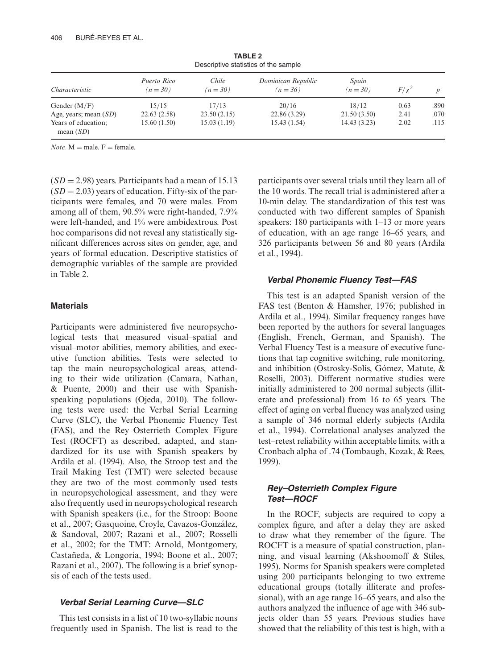| Characteristic                     | Puerto Rico<br>$(n = 30)$ | Chile<br>$(n = 30)$ | Dominican Republic<br>$(n = 36)$ | Spain<br>$(n = 30)$ | $F/\gamma^2$ |      |
|------------------------------------|---------------------------|---------------------|----------------------------------|---------------------|--------------|------|
| Gender $(M/F)$                     | 15/15                     | 17/13               | 20/16                            | 18/12               | 0.63         | .890 |
| Age, years; mean $(SD)$            | 22.63(2.58)               | 23.50(2.15)         | 22.86(3.29)                      | 21.50(3.50)         | 2.41         | .070 |
| Years of education;<br>mean $(SD)$ | 15.60(1.50)               | 15.03(1.19)         | 15.43 (1.54)                     | 14.43(3.23)         | 2.02         | .115 |

**TABLE 2** Descriptive statistics of the sample

*Note.*  $M =$  male.  $F =$  female.

 $(SD = 2.98)$  years. Participants had a mean of 15.13  $(SD = 2.03)$  years of education. Fifty-six of the participants were females, and 70 were males. From among all of them, 90.5% were right-handed, 7.9% were left-handed, and 1% were ambidextrous. Post hoc comparisons did not reveal any statistically significant differences across sites on gender, age, and years of formal education. Descriptive statistics of demographic variables of the sample are provided in Table 2.

#### **Materials**

Participants were administered five neuropsychological tests that measured visual–spatial and visual–motor abilities, memory abilities, and executive function abilities. Tests were selected to tap the main neuropsychological areas, attending to their wide utilization (Camara, Nathan, & Puente, 2000) and their use with Spanishspeaking populations (Ojeda, 2010). The following tests were used: the Verbal Serial Learning Curve (SLC), the Verbal Phonemic Fluency Test (FAS), and the Rey–Osterrieth Complex Figure Test (ROCFT) as described, adapted, and standardized for its use with Spanish speakers by Ardila et al. (1994). Also, the Stroop test and the Trail Making Test (TMT) were selected because they are two of the most commonly used tests in neuropsychological assessment, and they were also frequently used in neuropsychological research with Spanish speakers (i.e., for the Stroop: Boone et al., 2007; Gasquoine, Croyle, Cavazos-González, & Sandoval, 2007; Razani et al., 2007; Rosselli et al., 2002; for the TMT: Arnold, Montgomery, Castañeda, & Longoria, 1994; Boone et al., 2007; Razani et al., 2007). The following is a brief synopsis of each of the tests used.

#### *Verbal Serial Learning Curve—SLC*

This test consists in a list of 10 two-syllabic nouns frequently used in Spanish. The list is read to the participants over several trials until they learn all of the 10 words. The recall trial is administered after a 10-min delay. The standardization of this test was conducted with two different samples of Spanish speakers: 180 participants with 1–13 or more years of education, with an age range 16–65 years, and 326 participants between 56 and 80 years (Ardila et al., 1994).

#### *Verbal Phonemic Fluency Test—FAS*

This test is an adapted Spanish version of the FAS test (Benton & Hamsher, 1976; published in Ardila et al., 1994). Similar frequency ranges have been reported by the authors for several languages (English, French, German, and Spanish). The Verbal Fluency Test is a measure of executive functions that tap cognitive switching, rule monitoring, and inhibition (Ostrosky-Solís, Gómez, Matute, & Roselli, 2003). Different normative studies were initially administered to 200 normal subjects (illiterate and professional) from 16 to 65 years. The effect of aging on verbal fluency was analyzed using a sample of 346 normal elderly subjects (Ardila et al., 1994). Correlational analyses analyzed the test–retest reliability within acceptable limits, with a Cronbach alpha of .74 (Tombaugh, Kozak, & Rees, 1999).

#### *Rey–Osterrieth Complex Figure Test—ROCF*

In the ROCF, subjects are required to copy a complex figure, and after a delay they are asked to draw what they remember of the figure. The ROCFT is a measure of spatial construction, planning, and visual learning (Akshoomoff & Stiles, 1995). Norms for Spanish speakers were completed using 200 participants belonging to two extreme educational groups (totally illiterate and professional), with an age range 16–65 years, and also the authors analyzed the influence of age with 346 subjects older than 55 years. Previous studies have showed that the reliability of this test is high, with a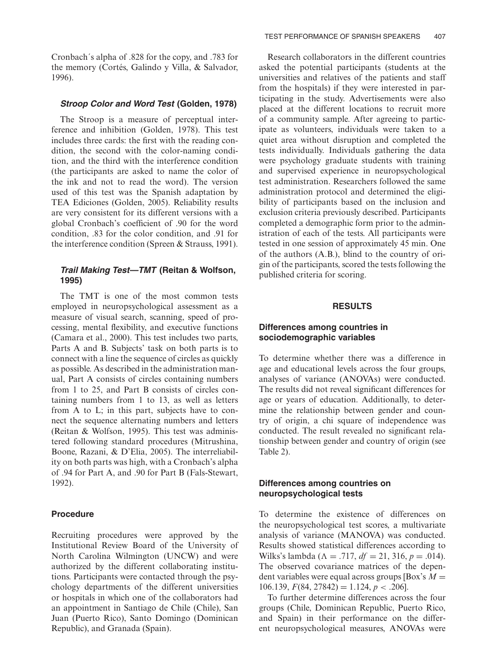Cronbach´s alpha of .828 for the copy, and .783 for the memory (Cortés, Galindo y Villa, & Salvador, 1996).

#### *Stroop Color and Word Test* **(Golden, 1978)**

The Stroop is a measure of perceptual interference and inhibition (Golden, 1978). This test includes three cards: the first with the reading condition, the second with the color-naming condition, and the third with the interference condition (the participants are asked to name the color of the ink and not to read the word). The version used of this test was the Spanish adaptation by TEA Ediciones (Golden, 2005). Reliability results are very consistent for its different versions with a global Cronbach's coefficient of .90 for the word condition, .83 for the color condition, and .91 for the interference condition (Spreen & Strauss, 1991).

#### *Trail Making Test—TMT* **(Reitan & Wolfson, 1995)**

The TMT is one of the most common tests employed in neuropsychological assessment as a measure of visual search, scanning, speed of processing, mental flexibility, and executive functions (Camara et al., 2000). This test includes two parts, Parts A and B. Subjects' task on both parts is to connect with a line the sequence of circles as quickly as possible. As described in the administration manual, Part A consists of circles containing numbers from 1 to 25, and Part B consists of circles containing numbers from 1 to 13, as well as letters from A to L; in this part, subjects have to connect the sequence alternating numbers and letters (Reitan & Wolfson, 1995). This test was administered following standard procedures (Mitrushina, Boone, Razani, & D'Elia, 2005). The interreliability on both parts was high, with a Cronbach's alpha of .94 for Part A, and .90 for Part B (Fals-Stewart, 1992).

#### **Procedure**

Recruiting procedures were approved by the Institutional Review Board of the University of North Carolina Wilmington (UNCW) and were authorized by the different collaborating institutions. Participants were contacted through the psychology departments of the different universities or hospitals in which one of the collaborators had an appointment in Santiago de Chile (Chile), San Juan (Puerto Rico), Santo Domingo (Dominican Republic), and Granada (Spain).

Research collaborators in the different countries asked the potential participants (students at the universities and relatives of the patients and staff from the hospitals) if they were interested in participating in the study. Advertisements were also placed at the different locations to recruit more of a community sample. After agreeing to participate as volunteers, individuals were taken to a quiet area without disruption and completed the tests individually. Individuals gathering the data were psychology graduate students with training and supervised experience in neuropsychological test administration. Researchers followed the same administration protocol and determined the eligibility of participants based on the inclusion and exclusion criteria previously described. Participants completed a demographic form prior to the administration of each of the tests. All participants were tested in one session of approximately 45 min. One of the authors (A.B.), blind to the country of origin of the participants, scored the tests following the published criteria for scoring.

#### **RESULTS**

#### **Differences among countries in sociodemographic variables**

To determine whether there was a difference in age and educational levels across the four groups, analyses of variance (ANOVAs) were conducted. The results did not reveal significant differences for age or years of education. Additionally, to determine the relationship between gender and country of origin, a chi square of independence was conducted. The result revealed no significant relationship between gender and country of origin (see Table 2).

#### **Differences among countries on neuropsychological tests**

To determine the existence of differences on the neuropsychological test scores, a multivariate analysis of variance (MANOVA) was conducted. Results showed statistical differences according to Wilks's lambda ( $\Lambda = .717$ ,  $df = 21$ , 316,  $p = .014$ ). The observed covariance matrices of the dependent variables were equal across groups [Box's *M* = 106.139,  $F(84, 27842) = 1.124, p < .206$ .

To further determine differences across the four groups (Chile, Dominican Republic, Puerto Rico, and Spain) in their performance on the different neuropsychological measures, ANOVAs were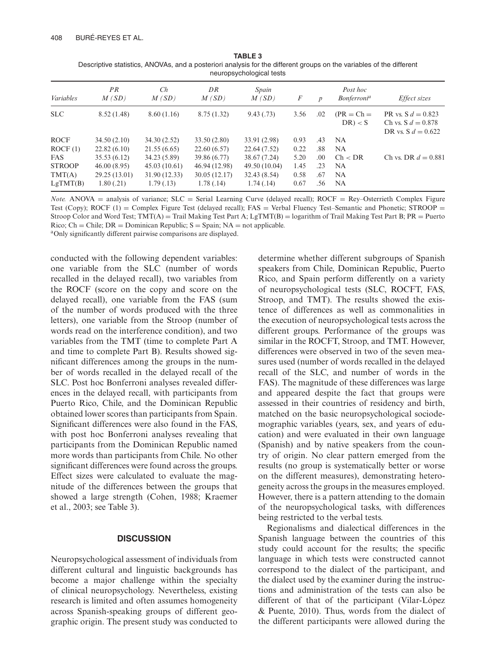| Variables          | PR<br>M(SD)                 | Ch<br>M(SD)                 | DR<br>M(SD)                | Spain<br>M(SD)             | $\boldsymbol{F}$ | $\boldsymbol{p}$ | Post hoc<br><i>Bonferroni<sup>a</sup></i> | <i>Effect sizes</i>                                                  |
|--------------------|-----------------------------|-----------------------------|----------------------------|----------------------------|------------------|------------------|-------------------------------------------|----------------------------------------------------------------------|
| <b>SLC</b>         | 8.52(1.48)                  | 8.60(1.16)                  | 8.75(1.32)                 | 9.43(.73)                  | 3.56             | .02              | $PR = Ch =$<br>DR) < S                    | PR vs. $S d = 0.823$<br>Ch vs. S $d = 0.878$<br>DR vs. $S_d = 0.622$ |
| <b>ROCF</b>        | 34.50(2.10)                 | 34.30 (2.52)                | 33.50 (2.80)               | 33.91 (2.98)               | 0.93             | .43              | NA.                                       |                                                                      |
| ROCF(1)            | 22.82(6.10)                 | 21.55(6.65)                 | 22.60(6.57)                | 22.64 (7.52)               | 0.22             | .88              | NA                                        |                                                                      |
| <b>FAS</b>         | 35.53(6.12)                 | 34.23 (5.89)                | 39.86 (6.77)               | 38.67 (7.24)               | 5.20             | .00              | Ch < DR                                   | Ch vs. DR $d = 0.881$                                                |
| <b>STROOP</b>      | 46.00(8.95)                 | 45.03(10.61)                | 46.94 (12.98)              | 49.50 (10.04)              | 1.45             | .23              | NA                                        |                                                                      |
| TMT(A)<br>LgTMT(B) | 29.25 (13.01)<br>1.80(0.21) | 31.90 (12.33)<br>1.79(0.13) | 30.05(12.17)<br>1.78(0.14) | 32.43 (8.54)<br>1.74(0.14) | 0.58<br>0.67     | .67<br>.56       | NA<br>NA                                  |                                                                      |

**TABLE 3** Descriptive statistics, ANOVAs, and a posteriori analysis for the different groups on the variables of the different neuropsychological tests

*Note.* ANOVA = analysis of variance;  $SLC =$  Serial Learning Curve (delayed recall); ROCF = Rey–Osterrieth Complex Figure Test (Copy); ROCF  $(1)$  = Complex Figure Test (delayed recall); FAS = Verbal Fluency Test–Semantic and Phonetic; STROOP = Stroop Color and Word Test; TMT(A) = Trail Making Test Part A; LgTMT(B) = logarithm of Trail Making Test Part B; PR = Puerto Rico; Ch = Chile; DR = Dominican Republic; S = Spain; NA = not applicable. <sup>a</sup>Only significantly different pairwise comparisons are displayed.

conducted with the following dependent variables: one variable from the SLC (number of words recalled in the delayed recall), two variables from the ROCF (score on the copy and score on the delayed recall), one variable from the FAS (sum of the number of words produced with the three letters), one variable from the Stroop (number of words read on the interference condition), and two variables from the TMT (time to complete Part A and time to complete Part B). Results showed significant differences among the groups in the number of words recalled in the delayed recall of the SLC. Post hoc Bonferroni analyses revealed differences in the delayed recall, with participants from Puerto Rico, Chile, and the Dominican Republic obtained lower scores than participants from Spain. Significant differences were also found in the FAS, with post hoc Bonferroni analyses revealing that participants from the Dominican Republic named more words than participants from Chile. No other significant differences were found across the groups. Effect sizes were calculated to evaluate the magnitude of the differences between the groups that showed a large strength (Cohen, 1988; Kraemer et al., 2003; see Table 3).

#### **DISCUSSION**

Neuropsychological assessment of individuals from different cultural and linguistic backgrounds has become a major challenge within the specialty of clinical neuropsychology. Nevertheless, existing research is limited and often assumes homogeneity across Spanish-speaking groups of different geographic origin. The present study was conducted to

determine whether different subgroups of Spanish speakers from Chile, Dominican Republic, Puerto Rico, and Spain perform differently on a variety of neuropsychological tests (SLC, ROCFT, FAS, Stroop, and TMT). The results showed the existence of differences as well as commonalities in the execution of neuropsychological tests across the different groups. Performance of the groups was similar in the ROCFT, Stroop, and TMT. However, differences were observed in two of the seven measures used (number of words recalled in the delayed recall of the SLC, and number of words in the FAS). The magnitude of these differences was large and appeared despite the fact that groups were assessed in their countries of residency and birth, matched on the basic neuropsychological sociodemographic variables (years, sex, and years of education) and were evaluated in their own language (Spanish) and by native speakers from the country of origin. No clear pattern emerged from the results (no group is systematically better or worse on the different measures), demonstrating heterogeneity across the groups in the measures employed. However, there is a pattern attending to the domain of the neuropsychological tasks, with differences being restricted to the verbal tests.

Regionalisms and dialectical differences in the Spanish language between the countries of this study could account for the results; the specific language in which tests were constructed cannot correspond to the dialect of the participant, and the dialect used by the examiner during the instructions and administration of the tests can also be different of that of the participant (Vilar-López & Puente, 2010). Thus, words from the dialect of the different participants were allowed during the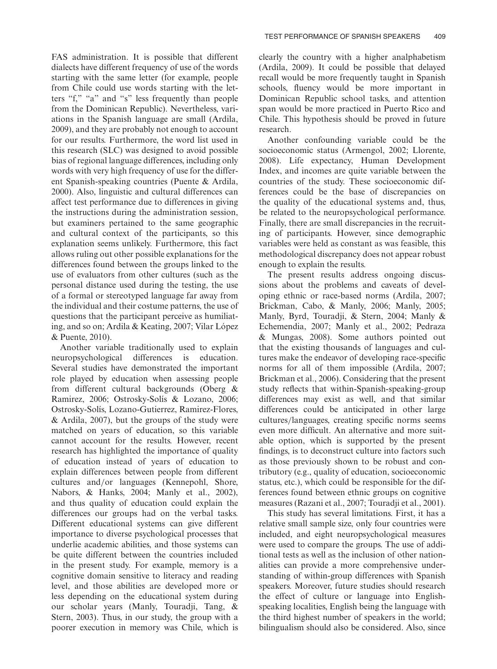FAS administration. It is possible that different dialects have different frequency of use of the words starting with the same letter (for example, people from Chile could use words starting with the letters "f," "a" and "s" less frequently than people from the Dominican Republic). Nevertheless, variations in the Spanish language are small (Ardila, 2009), and they are probably not enough to account for our results. Furthermore, the word list used in this research (SLC) was designed to avoid possible bias of regional language differences, including only words with very high frequency of use for the different Spanish-speaking countries (Puente & Ardila, 2000). Also, linguistic and cultural differences can affect test performance due to differences in giving the instructions during the administration session, but examiners pertained to the same geographic and cultural context of the participants, so this explanation seems unlikely. Furthermore, this fact allows ruling out other possible explanations for the differences found between the groups linked to the use of evaluators from other cultures (such as the personal distance used during the testing, the use of a formal or stereotyped language far away from the individual and their costume patterns, the use of questions that the participant perceive as humiliating, and so on; Ardila & Keating, 2007; Vilar López & Puente, 2010).

Another variable traditionally used to explain neuropsychological differences is education. Several studies have demonstrated the important role played by education when assessing people from different cultural backgrounds (Oberg & Ramirez, 2006; Ostrosky-Solís & Lozano, 2006; Ostrosky-Solís, Lozano-Gutierrez, Ramirez-Flores, & Ardila, 2007), but the groups of the study were matched on years of education, so this variable cannot account for the results. However, recent research has highlighted the importance of quality of education instead of years of education to explain differences between people from different cultures and/or languages (Kennepohl, Shore, Nabors, & Hanks, 2004; Manly et al., 2002), and thus quality of education could explain the differences our groups had on the verbal tasks. Different educational systems can give different importance to diverse psychological processes that underlie academic abilities, and those systems can be quite different between the countries included in the present study. For example, memory is a cognitive domain sensitive to literacy and reading level, and those abilities are developed more or less depending on the educational system during our scholar years (Manly, Touradji, Tang, & Stern, 2003). Thus, in our study, the group with a poorer execution in memory was Chile, which is clearly the country with a higher analphabetism (Ardila, 2009). It could be possible that delayed recall would be more frequently taught in Spanish schools, fluency would be more important in Dominican Republic school tasks, and attention span would be more practiced in Puerto Rico and Chile. This hypothesis should be proved in future research.

Another confounding variable could be the socioeconomic status (Armengol, 2002; Llorente, 2008). Life expectancy, Human Development Index, and incomes are quite variable between the countries of the study. These socioeconomic differences could be the base of discrepancies on the quality of the educational systems and, thus, be related to the neuropsychological performance. Finally, there are small discrepancies in the recruiting of participants. However, since demographic variables were held as constant as was feasible, this methodological discrepancy does not appear robust enough to explain the results.

The present results address ongoing discussions about the problems and caveats of developing ethnic or race-based norms (Ardila, 2007; Brickman, Cabo, & Manly, 2006; Manly, 2005; Manly, Byrd, Touradji, & Stern, 2004; Manly & Echemendia, 2007; Manly et al., 2002; Pedraza & Mungas, 2008). Some authors pointed out that the existing thousands of languages and cultures make the endeavor of developing race-specific norms for all of them impossible (Ardila, 2007; Brickman et al., 2006). Considering that the present study reflects that within-Spanish-speaking-group differences may exist as well, and that similar differences could be anticipated in other large cultures/languages, creating specific norms seems even more difficult. An alternative and more suitable option, which is supported by the present findings, is to deconstruct culture into factors such as those previously shown to be robust and contributory (e.g., quality of education, socioeconomic status, etc.), which could be responsible for the differences found between ethnic groups on cognitive measures (Razani et al., 2007; Touradji et al., 2001).

This study has several limitations. First, it has a relative small sample size, only four countries were included, and eight neuropsychological measures were used to compare the groups. The use of additional tests as well as the inclusion of other nationalities can provide a more comprehensive understanding of within-group differences with Spanish speakers. Moreover, future studies should research the effect of culture or language into Englishspeaking localities, English being the language with the third highest number of speakers in the world; bilingualism should also be considered. Also, since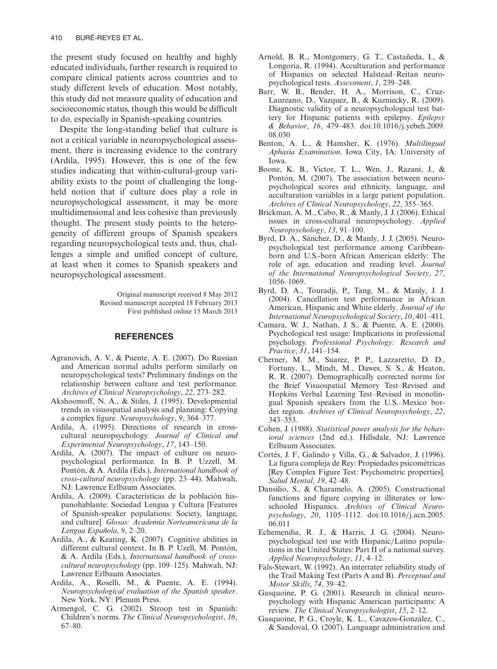the present study focused on healthy and highly educated individuals, further research is required to compare clinical patients across countries and to study different levels of education. Most notably, this study did not measure quality of education and socioeconomic status, though this would be difficult to do, especially in Spanish-speaking countries.

Despite the long-standing belief that culture is not a critical variable in neuropsychological assessment, there is increasing evidence to the contrary (Ardila, 1995). However, this is one of the few studies indicating that within-cultural-group variability exists to the point of challenging the longheld notion that if culture does play a role in neuropsychological assessment, it may be more multidimensional and less cohesive than previously thought. The present study points to the heterogeneity of different groups of Spanish speakers regarding neuropsychological tests and, thus, challenges a simple and unified concept of culture, at least when it comes to Spanish speakers and neuropsychological assessment.

> Original manuscript received 8 May 2012 Revised manuscript accepted 18 February 2013 First published online 15 March 2013

#### **REFERENCES**

- Agranovich, A. V., & Puente, A. E. (2007). Do Russian and American normal adults perform similarly on neuropsychological tests? Preliminary findings on the relationship between culture and test performance. *Archives of Clinical Neuropsychology*, *22*, 273–282.
- Akshoomoff, N. A., & Stiles, J. (1995). Developmental trends in visuospatial analysis and planning: Copying a complex figure. *Neuropsychology*, *9*, 364–377.
- Ardila, A. (1995). Directions of research in crosscultural neuropsychology. *Journal of Clinical and Experimental Neuropsychology*, *17*, 143–150.
- Ardila, A. (2007). The impact of culture on neuropsychological performance. In B. P. Uzzell, M. Pontón, & A. Ardila (Eds.), *International handbook of cross-cultural neuropsychology* (pp. 23–44). Mahwah, NJ: Lawrence Erlbaum Associates.
- Ardila, A. (2009). Características de la población hispanohablante: Sociedad Lengua y Cultura [Features of Spanish-speaker populations: Society, language, and culture]. *Glosas: Academia Norteamericana de la Lengua Española*, *9*, 2–20.
- Ardila, A., & Keating, K. (2007). Cognitive abilities in different cultural context. In B. P. Uzell, M. Pontón, & A. Ardila (Eds.), *International handbook of crosscultural neuropsychology* (pp. 109–125). Mahwah, NJ: Lawrence Erlbaum Associates.
- Ardila, A., Roselli, M., & Puente, A. E. (1994). *Neuropsychological evaluation of the Spanish speaker*. New York, NY: Plenum Press.
- Armengol, C. G. (2002). Stroop test in Spanish: Children's norms. *The Clinical Neuropsychologist*, *16*, 67–80.
- Arnold, B. R., Montgomery, G. T., Castañeda, I., & Longoria, R. (1994). Acculturation and performance of Hispanics on selected Halstead–Reitan neuropsychological tests. *Assessment*, *1*, 239–248.
- Barr, W. B., Bender, H. A., Morrison, C., Cruz-Laureano, D., Vazquez, B., & Kuzniecky, R. (2009). Diagnostic validity of a neuropsychological test battery for Hispanic patients with epilepsy. *Epilepsy & Behavior*, *16*, 479–483. doi:10.1016/j.yebeh.2009. 08.030
- Benton, A. L., & Hamsher, K. (1976). *Multilingual Aphasia Examination*. Iowa City, IA: University of Iowa.
- Boone, K. B., Victor, T. L., Wen, J., Razani, J., & Pontón, M. (2007). The association between neuropsychological scores and ethnicity, language, and acculturation variables in a large patient population. *Archives of Clinical Neuropsychology*, *22*, 355–365.
- Brickman, A. M., Cabo, R., & Manly, J. J. (2006). Ethical issues in cross-cultural neuropsychology. *Applied Neuropsychology*, *13*, 91–100.
- Byrd, D. A., Sánchez, D., & Manly, J. J. (2005). Neuropsychological test performance among Caribbeanborn and U.S.-born African American elderly: The role of age, education and reading level. *Journal of the International Neuropsychological Society*, *27*, 1056–1069.
- Byrd, D. A., Touradji, P., Tang, M., & Manly, J. J. (2004). Cancellation test performance in African American, Hispanic and White elderly. *Journal of the International Neuropsychological Society*, *10*, 401–411.
- Camara, W. J., Nathan, J. S., & Puente, A. E. (2000). Psychological test usage: Implications in professional psychology. *Professional Psychology: Research and Practice*, *31*, 141–154.
- Cherner, M. M., Suarez, P. P., Lazzaretto, D. D., Fortuny, L., Mindt, M., Dawes, S. S., & Heaton, R. R. (2007). Demographically corrected norms for the Brief Visuospatial Memory Test–Revised and Hopkins Verbal Learning Test–Revised in monolingual Spanish speakers from the U.S.–Mexico border region. *Archives of Clinical Neuropsychology*, *22*, 343–353.
- Cohen, J. (1988). *Statistical power analysis for the behavioral sciences* (2nd ed.). Hillsdale, NJ: Lawrence Erlbaum Associates.
- Cortés, J. F, Galindo y Villa, G., & Salvador, J. (1996). La figura compleja de Rey: Propiedades psicométricas [Rey Complex Figure Test: Psychometric properties]. *Salud Mental*, *19*, 42–48.
- Dansilio, S., & Charamelo, A. (2005). Constructional functions and figure copying in illiterates or lowschooled Hispanics. *Archives of Clinical Neuropsychology*, *20*, 1105–1112. doi:10.1016/j.acn.2005. 06.011
- Echemendia, R. J., & Harris, J. G. (2004). Neuropsychological test use with Hispanic/Latino populations in the United States: Part II of a national survey. *Applied Neuropsychology*, *11*, 4–12.
- Fals-Stewart, W. (1992). An interrater reliability study of the Trail Making Test (Parts A and B). *Perceptual and Motor Skills*, *74*, 39–42.
- Gasquoine, P. G. (2001). Research in clinical neuropsychology with Hispanic American participants: A review. *The Clinical Neuropsychologist*, *15*, 2–12.
- Gasquoine, P. G., Croyle, K. L., Cavazos-González, C., & Sandoval, O. (2007). Language administration and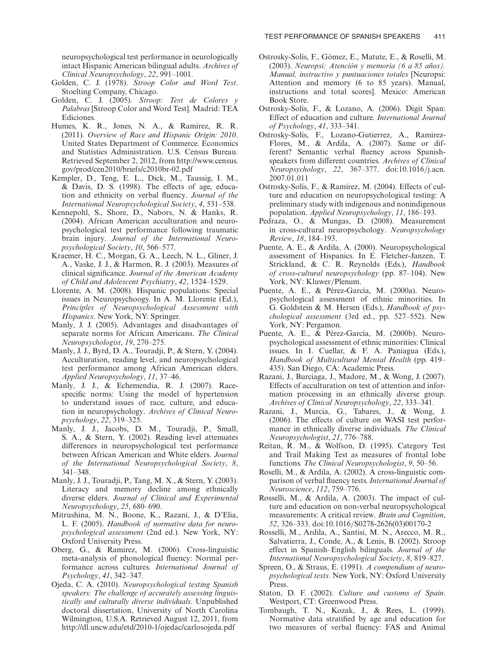neuropsychological test performance in neurologically intact Hispanic American bilingual adults. *Archives of Clinical Neuropsychology*, *22*, 991–1001.

- Golden, C. J. (1978). *Stroop Color and Word Test*. Stoelting Company, Chicago.
- Golden, C. J. (2005). *Stroop: Test de Colores y Palabras* [Stroop Color and Word Test]. Madrid: TEA Ediciones.
- Humes, K. R., Jones, N. A., & Ramírez, R. R. (2011). *Overview of Race and Hispanic Origin: 2010*. United States Department of Commerce. Economics and Statistics Administration. U.S. Census Bureau. Retrieved September 2, 2012, from http://www.census. gov/prod/cen2010/briefs/c2010br-02.pdf
- Kempler, D., Teng, E. L., Dick, M., Taussig, I. M., & Davis, D. S. (1998). The effects of age, education and ethnicity on verbal fluency. *Journal of the International Neuropsychological Society*, *4*, 531–538.
- Kennepohl, S., Shore, D., Nabors, N. & Hanks, R. (2004). African American acculturation and neuropsychological test performance following traumatic brain injury. *Journal of the International Neuropsychological Society*, *10*, 566–577.
- Kraemer, H. C., Morgan, G. A., Leech, N. L., Gliner, J. A., Vaske, J. J., & Harmon, R. J. (2003). Measures of clinical significance. *Journal of the American Academy of Child and Adolescent Psychiatry*, *42*, 1524–1529.
- Llorente, A. M. (2008). Hispanic populations: Special issues in Neuropsychoogy. In A. M. Llorente (Ed.), *Principles of Neuropsychological Assessment with Hispanics*. New York, NY: Springer.
- Manly, J. J. (2005). Advantages and disadvantages of separate norms for African Americans. *The Clinical Neuropsychologist*, *19*, 270–275.
- Manly, J. J., Byrd, D. A., Touradji, P., & Stern, Y. (2004). Acculturation, reading level, and neuropsychological test performance among African American elders. *Applied Neuropsychology*, *11*, 37–46.
- Manly, J. J., & Echemendia, R. J. (2007). Racespecific norms: Using the model of hypertension to understand issues of race, culture, and education in neuropsychology. *Archives of Clinical Neuropsychology*, *22*, 319–325.
- Manly, J. J., Jacobs, D. M., Touradji, P., Small, S. A., & Stern, Y. (2002). Reading level attenuates differences in neuropsychological test performance between African American and White elders. *Journal of the International Neuropsychological Society*, *8*, 341–348.
- Manly, J. J., Touradji, P., Tang, M. X., & Stern, Y. (2003). Literacy and memory decline among ethnically diverse elders. *Journal of Clinical and Experimental Neuropsychology*, *25*, 680–690.
- Mitrushina, M. N., Boone, K., Razani, J., & D'Elia, L. F. (2005). *Handbook of normative data for neuropsychological assessment* (2nd ed.). New York, NY: Oxford University Press.
- Oberg, G., & Ramirez, M. (2006). Cross-linguistic meta-analysis of phonological fluency: Normal performance across cultures. *International Journal of Psychology*, *41*, 342–347.
- Ojeda, C. A. (2010). *Neuropsychological testing Spanish speakers: The challenge of accurately assessing linguistically and culturally diverse individuals*. Unpublished doctoral dissertation, University of North Carolina Wilmington, U.S.A. Retrieved August 12, 2011, from http://dl.uncw.edu/etd/2010-1/ojedac/carlosojeda.pdf
- Ostrosky-Solís, F., Gómez, E., Matute, E., & Roselli, M. (2003). *Neuropsi: Atención y memoria (6 a 85 años). Manual, instructivo y puntuaciones totales* [Neuropsi: Attention and memory (6 to 85 years). Manual, instructions and total scores]. Mexico: American Book Store.
- Ostrosky-Solís, F., & Lozano, A. (2006). Digit Span: Effect of education and culture. *International Journal of Psychology*, *41*, 333–341.
- Ostrosky-Solís, F., Lozano-Gutierrez, A., Ramirez-Flores, M., & Ardila, A. (2007). Same or different? Semantic verbal fluency across Spanishspeakers from different countries. *Archives of Clinical Neuropsychology*, *22*, 367–377. doi:10.1016/j.acn. 2007.01.011
- Ostrosky-Solís, F., & Ramírez, M. (2004). Effects of culture and education on neuropsychological testing: A preliminary study with indigenous and nonindigenous population. *Applied Neuropsychology*, *11*, 186–193.
- Pedraza, O., & Mungas, D. (2008). Measurement in cross-cultural neuropsychology. *Neuropsychology Review*, *18*, 184–193.
- Puente, A. E., & Ardila, A. (2000). Neuropsychological assessment of Hispanics. In E. Fletcher-Janzen, T. Strickland, & C. R. Reynolds (Eds.), *Handbook of cross-cultural neuropsychology* (pp. 87–104). New York, NY: Kluwer/Plenum.
- Puente, A. E., & Pérez-García, M. (2000a). Neuropsychological assessment of ethnic minorities. In G. Goldstein & M. Hersen (Eds.), *Handbook of psychological assessment* (3rd ed., pp. 527–552). New York, NY: Pergamon.
- Puente, A. E., & Pérez-García, M. (2000b). Neuropsychological assessment of ethnic minorities: Clinical issues. In I. Cuellar, & F. A. Paniagua (Eds.), *Handbook of Multicultural Mental Health* (pp. 419– 435). San Diego, CA: Academic Press.
- Razani, J., Burciaga, J., Madore, M., & Wong, J. (2007). Effects of acculturation on test of attention and information processing in an ethnically diverse group. *Archives of Clinical Neuropsychology*, *22*, 333–341.
- Razani, J., Murcia, G., Tabares, J., & Wong, J. (2006). The effects of culture on WASI test performance in ethnically diverse individuals. *The Clinical Neuropsychologist*, *21*, 776–788.
- Reitan, R. M., & Wolfson, D. (1995). Category Test and Trail Making Test as measures of frontal lobe functions. *The Clinical Neuropsychologist*, *9*, 50–56.
- Roselli, M., & Ardila, A. (2002). A cross-linguistic comparison of verbal fluency tests. *International Journal of Neuroscience*, *112*, 759–776.
- Rosselli, M., & Ardila, A. (2003). The impact of culture and education on non-verbal neuropsychological measurements: A critical review. *Brain and Cognition*, *52*, 326–333. doi:10.1016/S0278-2626(03)00170-2
- Rosselli, M., Ardila, A., Santisi, M. N., Arecco, M. R., Salvatierra, J., Conde, A., & Lenis, B. (2002). Stroop effect in Spanish–English bilinguals. *Journal of the International Neuropsychological Society*, *8*, 819–827.
- Spreen, O., & Straus, E. (1991). *A compendium of neuropsychological tests*. New York, NY: Oxford University Press.
- Staton, D. F. (2002). *Culture and customs of Spain*. Westport, CT: Greenwood Press.
- Tombaugh, T. N., Kozak, J., & Rees, L. (1999). Normative data stratified by age and education for two measures of verbal fluency: FAS and Animal